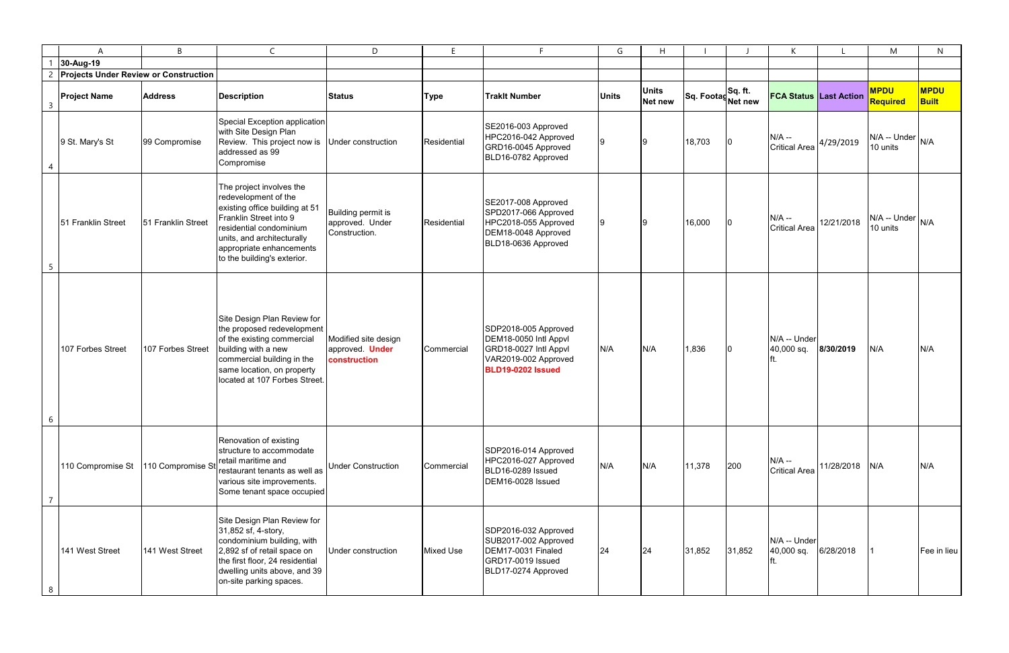|                | A                                            | B                  | $\mathsf{C}$                                                                                                                                                                                                                     | D                                                              | E                | F                                                                                                                          | G            | H                       |                               |        | K                                          |            | M                                | N                           |
|----------------|----------------------------------------------|--------------------|----------------------------------------------------------------------------------------------------------------------------------------------------------------------------------------------------------------------------------|----------------------------------------------------------------|------------------|----------------------------------------------------------------------------------------------------------------------------|--------------|-------------------------|-------------------------------|--------|--------------------------------------------|------------|----------------------------------|-----------------------------|
|                | 30-Aug-19                                    |                    |                                                                                                                                                                                                                                  |                                                                |                  |                                                                                                                            |              |                         |                               |        |                                            |            |                                  |                             |
|                | <b>Projects Under Review or Construction</b> |                    |                                                                                                                                                                                                                                  |                                                                |                  |                                                                                                                            |              |                         |                               |        |                                            |            |                                  |                             |
| $\overline{3}$ | <b>Project Name</b>                          | <b>Address</b>     | <b>Description</b>                                                                                                                                                                                                               | <b>Status</b>                                                  | <b>Type</b>      | <b>Traklt Number</b>                                                                                                       | <b>Units</b> | <b>Units</b><br>Net new | Sq. Footag Sq. ft.<br>Net new |        | <b>FCA Status Last Action</b>              |            | <b>MPDU</b><br>Required          | <b>MPDU</b><br><b>Built</b> |
| 4              | 9 St. Mary's St                              | 99 Compromise      | Special Exception application<br>with Site Design Plan<br>Review. This project now is<br>addressed as 99<br>Compromise                                                                                                           | Under construction                                             | Residential      | SE2016-003 Approved<br>HPC2016-042 Approved<br>GRD16-0045 Approved<br>BLD16-0782 Approved                                  |              |                         | 18,703                        | 10     | $N/A$ --<br>$ $ Critical Area $ 4/29/2019$ |            | $N/A$ -- Under $N/A$<br>10 units |                             |
| 5              | 51 Franklin Street                           | 51 Franklin Street | The project involves the<br>redevelopment of the<br>existing office building at 51<br>Franklin Street into 9<br>residential condominium<br>units, and architecturally<br>appropriate enhancements<br>to the building's exterior. | Building permit is<br>approved. Under<br>Construction.         | Residential      | SE2017-008 Approved<br>SPD2017-066 Approved<br>HPC2018-055 Approved<br>DEM18-0048 Approved<br>BLD18-0636 Approved          |              |                         | 16,000                        | 10     | $N/A -$<br><b>Critical Area</b>            | 12/21/2018 | N/A -- Under<br>10 units         | N/A                         |
| 6              | 107 Forbes Street                            | 107 Forbes Street  | Site Design Plan Review for<br>the proposed redevelopment<br>of the existing commercial<br>building with a new<br>commercial building in the<br>same location, on property<br>located at 107 Forbes Street.                      | Modified site design<br>approved. <b>Under</b><br>construction | Commercial       | SDP2018-005 Approved<br>DEM18-0050 Intl Appvl<br>GRD18-0027 Intl Appvl<br>VAR2019-002 Approved<br><b>BLD19-0202 Issued</b> | N/A          | N/A                     | 1,836                         | 10.    | N/A -- Under<br>40,000 sq.                 | 8/30/2019  | N/A                              | N/A                         |
| 7              | 110 Compromise St                            | 110 Compromise St  | Renovation of existing<br>structure to accommodate<br>retail maritime and<br>restaurant tenants as well as<br>various site improvements.<br>Some tenant space occupied                                                           | <b>Under Construction</b>                                      | Commercial       | SDP2016-014 Approved<br>HPC2016-027 Approved<br>BLD16-0289 Issued<br>DEM16-0028 Issued                                     | N/A          | N/A                     | 11,378                        | 200    | $N/A -$<br><b>Critical Area</b>            | 11/28/2018 | N/A                              | N/A                         |
| 8              | 141 West Street                              | 141 West Street    | Site Design Plan Review for<br>31,852 sf, 4-story,<br>condominium building, with<br>2,892 sf of retail space on<br>the first floor, 24 residential<br>dwelling units above, and 39<br>on-site parking spaces.                    | Under construction                                             | <b>Mixed Use</b> | SDP2016-032 Approved<br>SUB2017-002 Approved<br>DEM17-0031 Finaled<br>GRD17-0019 Issued<br>BLD17-0274 Approved             | 24           | 24                      | 31,852                        | 31,852 | N/A -- Under<br>40,000 sq.<br>π.           | 6/28/2018  |                                  | Fee in lieu                 |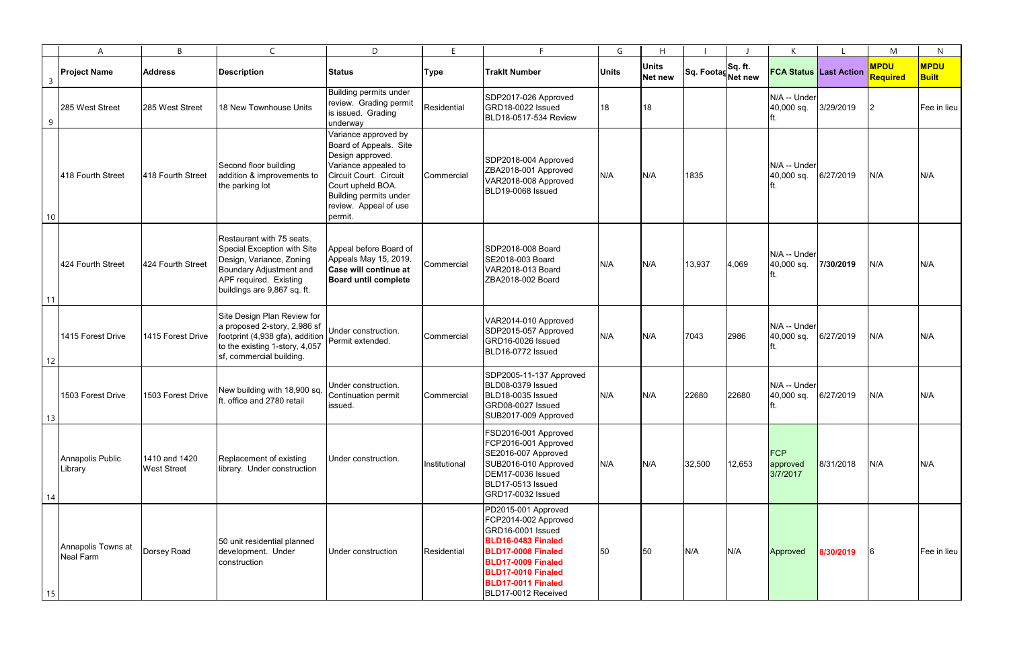|                | A                               | B                                   | $\mathsf{C}$                                                                                                                                                             | D                                                                                                                                                                                                       | E.            |                                                                                                                                                                                                       | G            | H                              |                               |        | K                                  |           | M                       | N                           |
|----------------|---------------------------------|-------------------------------------|--------------------------------------------------------------------------------------------------------------------------------------------------------------------------|---------------------------------------------------------------------------------------------------------------------------------------------------------------------------------------------------------|---------------|-------------------------------------------------------------------------------------------------------------------------------------------------------------------------------------------------------|--------------|--------------------------------|-------------------------------|--------|------------------------------------|-----------|-------------------------|-----------------------------|
| $\overline{3}$ | <b>Project Name</b>             | <b>Address</b>                      | <b>Description</b>                                                                                                                                                       | <b>Status</b>                                                                                                                                                                                           | <b>Type</b>   | <b>Traklt Number</b>                                                                                                                                                                                  | <b>Units</b> | <b>Units</b><br><b>Net new</b> | Sq. Footag Sq. ft.<br>Net new |        | <b>FCA Status Last Action</b>      |           | <b>MPDU</b><br>Required | <b>MPDU</b><br><b>Built</b> |
| 9              | 285 West Street                 | 285 West Street                     | 18 New Townhouse Units                                                                                                                                                   | <b>Building permits under</b><br>review. Grading permit<br>is issued. Grading<br>underway                                                                                                               | Residential   | SDP2017-026 Approved<br>GRD18-0022 Issued<br>BLD18-0517-534 Review                                                                                                                                    | 18           | 18                             |                               |        | N/A -- Under<br>40,000 sq.         | 3/29/2019 | $\overline{2}$          | Fee in lieu                 |
| 10             | 418 Fourth Street               | 418 Fourth Street                   | Second floor building<br>addition & improvements to<br>the parking lot                                                                                                   | Variance approved by<br>Board of Appeals. Site<br>Design approved.<br>Variance appealed to<br>Circuit Court. Circuit<br>Court upheld BOA.<br>Building permits under<br>review. Appeal of use<br>permit. | Commercial    | SDP2018-004 Approved<br>ZBA2018-001 Approved<br>VAR2018-008 Approved<br>BLD19-0068 Issued                                                                                                             | N/A          | N/A                            | 1835                          |        | N/A -- Under<br>40,000 sq.         | 6/27/2019 | N/A                     | N/A                         |
| 11             | 424 Fourth Street               | 424 Fourth Street                   | Restaurant with 75 seats.<br>Special Exception with Site<br>Design, Variance, Zoning<br>Boundary Adjustment and<br>APF required. Existing<br>buildings are 9,867 sq. ft. | Appeal before Board of<br>Appeals May 15, 2019.<br>Case will continue at<br><b>Board until complete</b>                                                                                                 | Commercial    | SDP2018-008 Board<br>SE2018-003 Board<br>VAR2018-013 Board<br>ZBA2018-002 Board                                                                                                                       | N/A          | N/A                            | 13,937                        | 4,069  | N/A -- Under<br>40,000 sq.         | 7/30/2019 | N/A                     | N/A                         |
| 12             | 1415 Forest Drive               | 1415 Forest Drive                   | Site Design Plan Review for<br>a proposed 2-story, 2,986 sf<br>footprint (4,938 gfa), addition<br>to the existing 1-story, 4,057<br>sf, commercial building.             | Under construction.<br>Permit extended.                                                                                                                                                                 | Commercial    | VAR2014-010 Approved<br>SDP2015-057 Approved<br>GRD16-0026 Issued<br>BLD16-0772 Issued                                                                                                                | N/A          | N/A                            | 7043                          | 2986   | N/A -- Under<br>40,000 sq.         | 6/27/2019 | N/A                     | N/A                         |
| 13             | 1503 Forest Drive               | 1503 Forest Drive                   | New building with 18,900 sq.<br>ft. office and 2780 retail                                                                                                               | Under construction.<br>Continuation permit<br>issued.                                                                                                                                                   | Commercial    | SDP2005-11-137 Approved<br>BLD08-0379 Issued<br>BLD18-0035 Issued<br>GRD08-0027 Issued<br>SUB2017-009 Approved                                                                                        | N/A          | N/A                            | 22680                         | 22680  | N/A -- Under<br>40,000 sq.         | 6/27/2019 | N/A                     | N/A                         |
| 14             | Annapolis Public<br>Library     | 1410 and 1420<br><b>West Street</b> | Replacement of existing<br>library. Under construction                                                                                                                   | Under construction.                                                                                                                                                                                     | Institutional | FSD2016-001 Approved<br>FCP2016-001 Approved<br>SE2016-007 Approved<br>SUB2016-010 Approved<br>DEM17-0036 Issued<br>BLD17-0513 Issued<br>GRD17-0032 Issued                                            | N/A          | N/A                            | 32,500                        | 12,653 | <b>FCP</b><br>approved<br>3/7/2017 | 8/31/2018 | N/A                     | N/A                         |
| 15             | Annapolis Towns at<br>Neal Farm | Dorsey Road                         | 50 unit residential planned<br>development. Under<br>construction                                                                                                        | Under construction                                                                                                                                                                                      | Residential   | PD2015-001 Approved<br>FCP2014-002 Approved<br>GRD16-0001 Issued<br>BLD16-0483 Finaled<br>BLD17-0008 Finaled<br>BLD17-0009 Finaled<br>BLD17-0010 Finaled<br>BLD17-0011 Finaled<br>BLD17-0012 Received | 50           | 50                             | N/A                           | N/A    | Approved                           | 8/30/2019 |                         | Fee in lieu                 |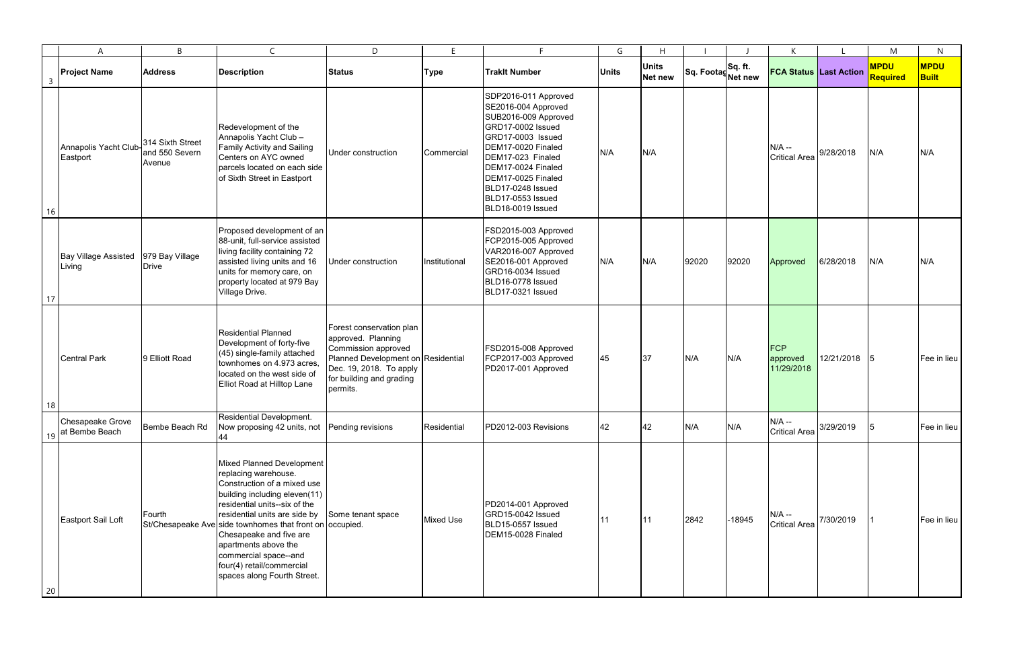|                | $\mathsf{A}$                          | B                                            | $\mathsf{C}$                                                                                                                                                                                                                                                                                                                                                                            | D                                                                                                                                                                              | E                | E.                                                                                                                                                                                                                                                                  | G            | H                              |                               |          | K                                    |              | M                              | N                           |
|----------------|---------------------------------------|----------------------------------------------|-----------------------------------------------------------------------------------------------------------------------------------------------------------------------------------------------------------------------------------------------------------------------------------------------------------------------------------------------------------------------------------------|--------------------------------------------------------------------------------------------------------------------------------------------------------------------------------|------------------|---------------------------------------------------------------------------------------------------------------------------------------------------------------------------------------------------------------------------------------------------------------------|--------------|--------------------------------|-------------------------------|----------|--------------------------------------|--------------|--------------------------------|-----------------------------|
| $\overline{3}$ | <b>Project Name</b>                   | <b>Address</b>                               | Description                                                                                                                                                                                                                                                                                                                                                                             | <b>Status</b>                                                                                                                                                                  | <b>Type</b>      | <b>Trakit Number</b>                                                                                                                                                                                                                                                | <b>Units</b> | <b>Units</b><br><b>Net new</b> | Sq. Footag Sq. ft.<br>Net new |          | <b>FCA Status Last Action</b>        |              | <b>MPDU</b><br><b>Required</b> | <b>MPDU</b><br><b>Built</b> |
| 16             | Annapolis Yacht Club<br>Eastport      | 314 Sixth Street<br>and 550 Severn<br>Avenue | Redevelopment of the<br>Annapolis Yacht Club -<br>Family Activity and Sailing<br>Centers on AYC owned<br>parcels located on each side<br>of Sixth Street in Eastport                                                                                                                                                                                                                    | Under construction                                                                                                                                                             | Commercial       | SDP2016-011 Approved<br>SE2016-004 Approved<br>SUB2016-009 Approved<br>GRD17-0002 Issued<br>GRD17-0003 Issued<br>DEM17-0020 Finaled<br>DEM17-023 Finaled<br>DEM17-0024 Finaled<br>DEM17-0025 Finaled<br>BLD17-0248 Issued<br>BLD17-0553 Issued<br>BLD18-0019 Issued | N/A          | N/A                            |                               |          | $N/A$ --<br><b>Critical Area</b>     | 9/28/2018    | N/A                            | N/A                         |
| 17             | <b>Bay Village Assisted</b><br>Living | 979 Bay Village<br><b>Drive</b>              | Proposed development of an<br>88-unit, full-service assisted<br>living facility containing 72<br>assisted living units and 16<br>units for memory care, on<br>property located at 979 Bay<br>Village Drive.                                                                                                                                                                             | Under construction                                                                                                                                                             | Institutional    | FSD2015-003 Approved<br>FCP2015-005 Approved<br>VAR2016-007 Approved<br>SE2016-001 Approved<br>GRD16-0034 Issued<br>BLD16-0778 Issued<br>BLD17-0321 Issued                                                                                                          | N/A          | N/A                            | 92020                         | 92020    | Approved                             | 6/28/2018    | N/A                            | N/A                         |
|                | <b>Central Park</b>                   | 9 Elliott Road                               | <b>Residential Planned</b><br>Development of forty-five<br>(45) single-family attached<br>townhomes on 4.973 acres,<br>located on the west side of<br>Elliot Road at Hilltop Lane                                                                                                                                                                                                       | Forest conservation plan<br>approved. Planning<br>Commission approved<br>Planned Development on Residential<br>Dec. 19, 2018. To apply<br>for building and grading<br>permits. |                  | FSD2015-008 Approved<br>FCP2017-003 Approved<br>PD2017-001 Approved                                                                                                                                                                                                 | 45           | 37                             | N/A                           | N/A      | <b>FCP</b><br>approved<br>11/29/2018 | 12/21/2018 5 |                                | Fee in lieu                 |
| 18<br>19       | Chesapeake Grove<br>at Bembe Beach    | Bembe Beach Rd                               | Residential Development.<br>Now proposing 42 units, not<br>44                                                                                                                                                                                                                                                                                                                           | Pending revisions                                                                                                                                                              | Residential      | PD2012-003 Revisions                                                                                                                                                                                                                                                | 42           | 42                             | N/A                           | N/A      | $N/A -$<br><b>Critical Area</b>      | 3/29/2019    | 15                             | Fee in lieu                 |
| 20             | Eastport Sail Loft                    | Fourth                                       | Mixed Planned Development<br>replacing warehouse.<br>Construction of a mixed use<br>building including eleven(11)<br>residential units--six of the<br>residential units are side by<br>St/Chesapeake Ave side townhomes that front on occupied.<br>Chesapeake and five are<br>apartments above the<br>commercial space--and<br>four(4) retail/commercial<br>spaces along Fourth Street. | Some tenant space                                                                                                                                                              | <b>Mixed Use</b> | PD2014-001 Approved<br>GRD15-0042 Issued<br>BLD15-0557 Issued<br>DEM15-0028 Finaled                                                                                                                                                                                 | 11           | 11                             | 2842                          | $-18945$ | $N/A -$<br><b>Critical Area</b>      | 7/30/2019    |                                | Fee in lieu                 |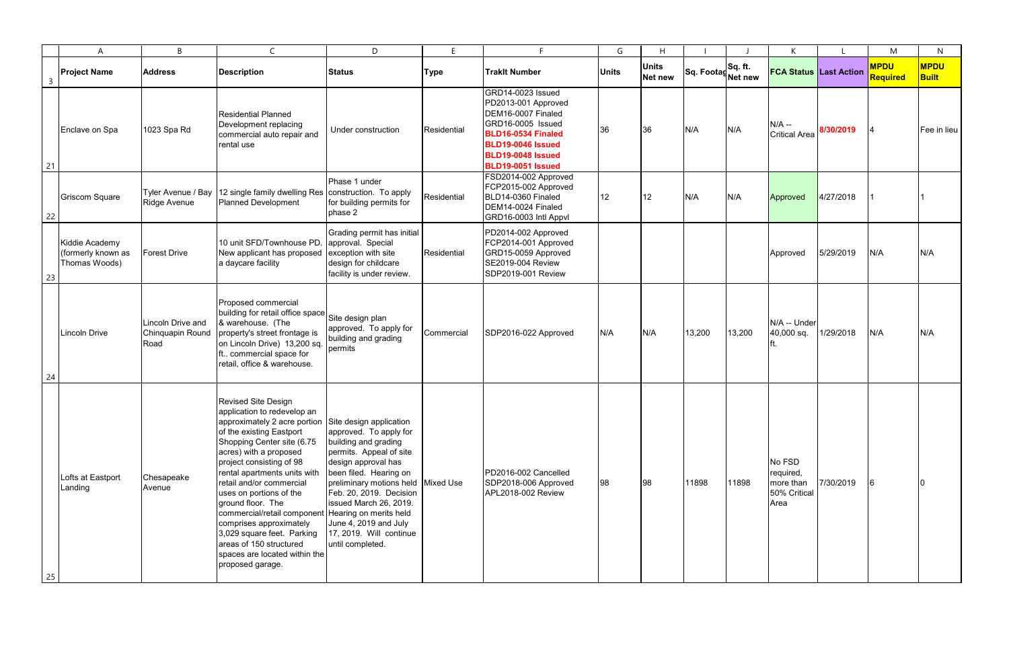|                | A                                                     | B                                             | $\mathsf{C}$                                                                                                                                                                                                                                                                                                                                                                                                                                                                                                                                 | D.                                                                                                                                                                                                                                                                                            | E           | F                                                                                                                                                                                             | G            | H                       |                              |        | K                                                        |           | M                       | $\mathsf{N}$                |
|----------------|-------------------------------------------------------|-----------------------------------------------|----------------------------------------------------------------------------------------------------------------------------------------------------------------------------------------------------------------------------------------------------------------------------------------------------------------------------------------------------------------------------------------------------------------------------------------------------------------------------------------------------------------------------------------------|-----------------------------------------------------------------------------------------------------------------------------------------------------------------------------------------------------------------------------------------------------------------------------------------------|-------------|-----------------------------------------------------------------------------------------------------------------------------------------------------------------------------------------------|--------------|-------------------------|------------------------------|--------|----------------------------------------------------------|-----------|-------------------------|-----------------------------|
| $\overline{3}$ | <b>Project Name</b>                                   | <b>Address</b>                                | Description                                                                                                                                                                                                                                                                                                                                                                                                                                                                                                                                  | <b>Status</b>                                                                                                                                                                                                                                                                                 | Type        | <b>Traklt Number</b>                                                                                                                                                                          | <b>Units</b> | <b>Units</b><br>Net new | Sq. FootagSq. ft.<br>Net new |        | <b>FCA Status Last Action</b>                            |           | <b>MPDU</b><br>Required | <b>MPDU</b><br><b>Built</b> |
| 21             | Enclave on Spa                                        | 1023 Spa Rd                                   | <b>Residential Planned</b><br>Development replacing<br>commercial auto repair and<br>rental use                                                                                                                                                                                                                                                                                                                                                                                                                                              | Under construction                                                                                                                                                                                                                                                                            | Residential | GRD14-0023 Issued<br>PD2013-001 Approved<br>DEM16-0007 Finaled<br>GRD16-0005 Issued<br>BLD16-0534 Finaled<br><b>BLD19-0046 Issued</b><br><b>BLD19-0048 Issued</b><br><b>BLD19-0051 Issued</b> | 36           | 36                      | N/A                          | N/A    | $N/A -$<br><b>Critical Area</b>                          | 8/30/2019 |                         | Fee in lieu                 |
| 22             | <b>Griscom Square</b>                                 | Tyler Avenue / Bay<br>Ridge Avenue            | 12 single family dwelling Res   construction. To apply<br>Planned Development                                                                                                                                                                                                                                                                                                                                                                                                                                                                | Phase 1 under<br>for building permits for<br>phase 2                                                                                                                                                                                                                                          | Residential | FSD2014-002 Approved<br>FCP2015-002 Approved<br>BLD14-0360 Finaled<br>DEM14-0024 Finaled<br>GRD16-0003 Intl Appvl                                                                             | 12           | 12                      | N/A                          | N/A    | Approved                                                 | 4/27/2018 |                         |                             |
| 23             | Kiddie Academy<br>(formerly known as<br>Thomas Woods) | <b>Forest Drive</b>                           | 10 unit SFD/Townhouse PD.<br>New applicant has proposed<br>a daycare facility                                                                                                                                                                                                                                                                                                                                                                                                                                                                | Grading permit has initial<br>approval. Special<br>exception with site<br>design for childcare<br>facility is under review.                                                                                                                                                                   | Residential | PD2014-002 Approved<br>FCP2014-001 Approved<br>GRD15-0059 Approved<br><b>SE2019-004 Review</b><br>SDP2019-001 Review                                                                          |              |                         |                              |        | Approved                                                 | 5/29/2019 | N/A                     | N/A                         |
| 24             | <b>Lincoln Drive</b>                                  | Lincoln Drive and<br>Chinquapin Round<br>Road | Proposed commercial<br>building for retail office space Site design plan<br>& warehouse. (The<br>property's street frontage is<br>on Lincoln Drive) 13,200 sq.<br>ft commercial space for<br>retail, office & warehouse.                                                                                                                                                                                                                                                                                                                     | approved. To apply for<br>building and grading<br>permits                                                                                                                                                                                                                                     | Commercial  | SDP2016-022 Approved                                                                                                                                                                          | N/A          | N/A                     | 13,200                       | 13,200 | N/A -- Under<br>40,000 sq.                               | 1/29/2018 | N/A                     | N/A                         |
| 25             | Lofts at Eastport<br>Landing                          | Chesapeake<br>Avenue                          | <b>Revised Site Design</b><br>application to redevelop an<br>approximately 2 acre portion Site design application<br>of the existing Eastport<br>Shopping Center site (6.75<br>acres) with a proposed<br>project consisting of 98<br>rental apartments units with<br>retail and/or commercial<br>uses on portions of the<br>ground floor. The<br>commercial/retail component Hearing on merits held<br>comprises approximately<br>3,029 square feet. Parking<br>areas of 150 structured<br>spaces are located within the<br>proposed garage. | approved. To apply for<br>building and grading<br>permits. Appeal of site<br>design approval has<br>been filed. Hearing on<br>preliminary motions held Mixed Use<br>Feb. 20, 2019. Decision<br>issued March 26, 2019.<br>June 4, 2019 and July<br>17, 2019. Will continue<br>until completed. |             | PD2016-002 Cancelled<br>SDP2018-006 Approved<br>APL2018-002 Review                                                                                                                            | 98           | 98                      | 11898                        | 11898  | No FSD<br>required,<br>more than<br>50% Critical<br>Area | 7/30/2019 |                         |                             |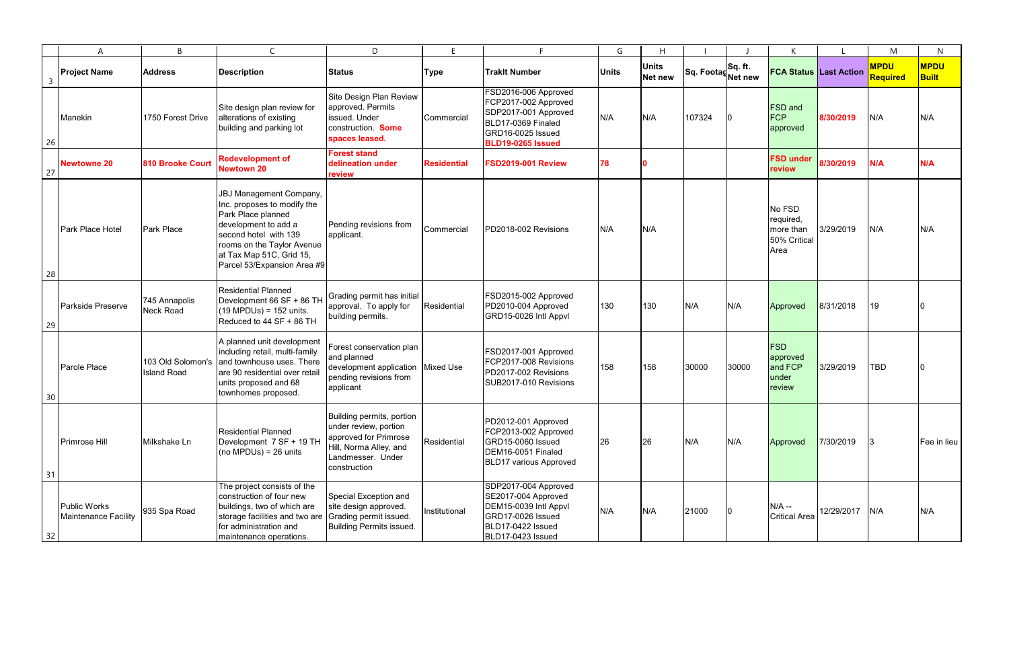|                | A                                           | B                                       | $\mathsf{C}$                                                                                                                                                                                                                  | D                                                                                                                                          | F             |                                                                                                                                             | G            | H                       |                    |         |                                                          |            | M                              | N                           |
|----------------|---------------------------------------------|-----------------------------------------|-------------------------------------------------------------------------------------------------------------------------------------------------------------------------------------------------------------------------------|--------------------------------------------------------------------------------------------------------------------------------------------|---------------|---------------------------------------------------------------------------------------------------------------------------------------------|--------------|-------------------------|--------------------|---------|----------------------------------------------------------|------------|--------------------------------|-----------------------------|
| $\overline{3}$ | <b>Project Name</b>                         | <b>Address</b>                          | <b>Description</b>                                                                                                                                                                                                            | <b>Status</b>                                                                                                                              | <b>Type</b>   | <b>Traklt Number</b>                                                                                                                        | <b>Units</b> | <b>Units</b><br>Net new | Sq. Footag Net new | Sq. ft. | <b>FCA Status Last Action</b>                            |            | <b>MPDU</b><br><b>Required</b> | <b>MPDU</b><br><b>Built</b> |
| 26             | Manekin                                     | 1750 Forest Drive                       | Site design plan review for<br>alterations of existing<br>building and parking lot                                                                                                                                            | Site Design Plan Review<br>approved. Permits<br>issued. Under<br>construction Some<br>spaces leased.                                       | Commercial    | FSD2016-006 Approved<br>FCP2017-002 Approved<br>SDP2017-001 Approved<br>BLD17-0369 Finaled<br>GRD16-0025 Issued<br><b>BLD19-0265 Issued</b> | N/A          | N/A                     | 107324             | 10      | <b>FSD</b> and<br><b>FCP</b><br>approved                 | 8/30/2019  | N/A                            | N/A                         |
| 27             | <b>Newtowne 20</b>                          | <b>810 Brooke Court</b>                 | <b>Redevelopment of</b><br><b>Newtown 20</b>                                                                                                                                                                                  | <b>Forest stand</b><br>delineation under<br>review                                                                                         | Residential   | <b>FSD2019-001 Review</b>                                                                                                                   | 78           |                         |                    |         | <b>FSD under</b><br>review                               | 8/30/2019  | N/A                            | N/A                         |
| 28             | Park Place Hotel                            | Park Place                              | <b>JBJ Management Company,</b><br>Inc. proposes to modify the<br>Park Place planned<br>development to add a<br>second hotel with 139<br>rooms on the Taylor Avenue<br>at Tax Map 51C, Grid 15,<br>Parcel 53/Expansion Area #9 | Pending revisions from<br>applicant.                                                                                                       | Commercial    | PD2018-002 Revisions                                                                                                                        | N/A          | N/A                     |                    |         | No FSD<br>required,<br>more than<br>50% Critical<br>Area | 3/29/2019  | N/A                            | N/A                         |
| 29             | Parkside Preserve                           | 745 Annapolis<br>Neck Road              | <b>Residential Planned</b><br>Development 66 SF + 86 TH<br>$(19 \text{ MPDUs}) = 152 \text{ units}.$<br>Reduced to 44 SF + 86 TH                                                                                              | Grading permit has initial<br>approval. To apply for<br>building permits.                                                                  | Residential   | FSD2015-002 Approved<br>PD2010-004 Approved<br>GRD15-0026 Intl Appvl                                                                        | 130          | 130                     | N/A                | N/A     | Approved                                                 | 8/31/2018  | 19                             |                             |
| 30             | Parole Place                                | 103 Old Solomon's<br><b>Island Road</b> | A planned unit development<br>including retail, multi-family<br>and townhouse uses. There<br>are 90 residential over retail<br>units proposed and 68<br>townhomes proposed.                                                   | Forest conservation plan<br>and planned<br>development application Mixed Use<br>pending revisions from<br>applicant                        |               | FSD2017-001 Approved<br>FCP2017-008 Revisions<br>PD2017-002 Revisions<br>SUB2017-010 Revisions                                              | 158          | 158                     | 30000              | 30000   | <b>FSD</b><br>approved<br>and FCP<br>under<br>review     | 3/29/2019  | <b>TBD</b>                     |                             |
| 31             | <b>Primrose Hill</b>                        | Milkshake Ln                            | <b>Residential Planned</b><br>Development 7 SF + 19 TH<br>(no MPDUs) = $26$ units                                                                                                                                             | Building permits, portion<br>under review, portion<br>approved for Primrose<br>Hill, Norma Alley, and<br>Landmesser. Under<br>construction | Residential   | PD2012-001 Approved<br>FCP2013-002 Approved<br>GRD15-0060 Issued<br>DEM16-0051 Finaled<br><b>BLD17 various Approved</b>                     | 26           | 26                      | N/A                | N/A     | Approved                                                 | 7/30/2019  | 13.                            | Fee in lieu                 |
| 32             | <b>Public Works</b><br>Maintenance Facility | 935 Spa Road                            | The project consists of the<br>construction of four new<br>buildings, two of which are<br>storage facilities and two are Grading permit issued.<br>for administration and<br>maintenance operations.                          | Special Exception and<br>site design approved.<br><b>Building Permits issued.</b>                                                          | Institutional | SDP2017-004 Approved<br>SE2017-004 Approved<br>DEM15-0039 Intl Appvl<br>GRD17-0026 Issued<br>BLD17-0422 Issued<br>BLD17-0423 Issued         | N/A          | N/A                     | 21000              |         | $N/A -$<br><b>Critical Area</b>                          | 12/29/2017 | N/A                            | N/A                         |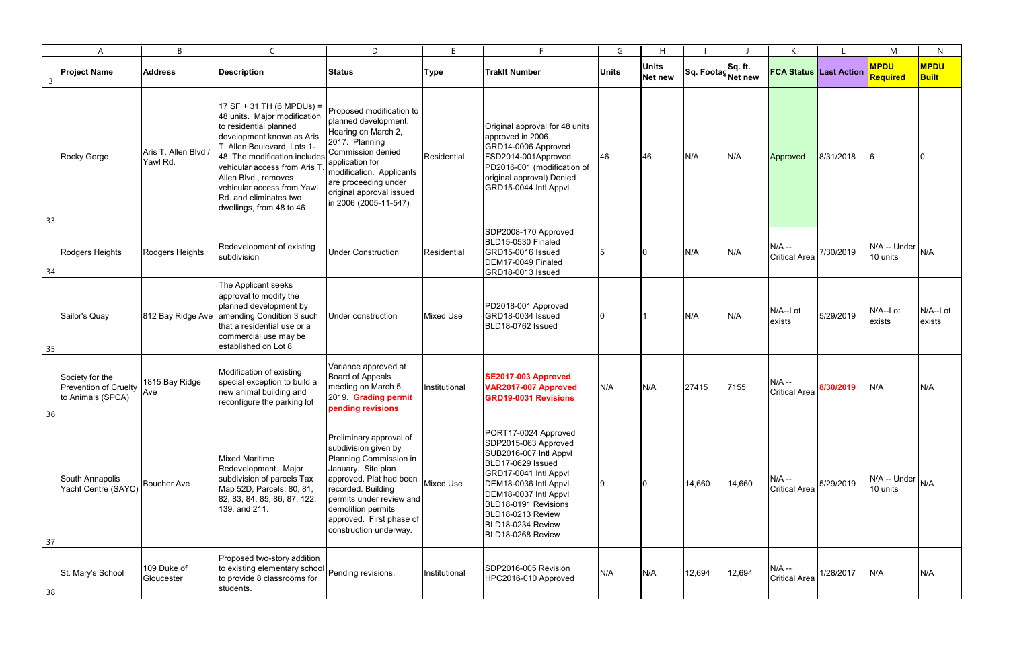|                | $\mathsf{A}$                                                  | B                                | $\mathsf{C}$                                                                                                                                                                                                                                                                                                                        | D.                                                                                                                                                                                                                                                                 | E.               | F                                                                                                                                                                                                                                                             | G            | H                       |                               |        | K                                |           | M                        | $\mathsf{N}$                |
|----------------|---------------------------------------------------------------|----------------------------------|-------------------------------------------------------------------------------------------------------------------------------------------------------------------------------------------------------------------------------------------------------------------------------------------------------------------------------------|--------------------------------------------------------------------------------------------------------------------------------------------------------------------------------------------------------------------------------------------------------------------|------------------|---------------------------------------------------------------------------------------------------------------------------------------------------------------------------------------------------------------------------------------------------------------|--------------|-------------------------|-------------------------------|--------|----------------------------------|-----------|--------------------------|-----------------------------|
| $\overline{3}$ | <b>Project Name</b>                                           | <b>Address</b>                   | <b>Description</b>                                                                                                                                                                                                                                                                                                                  | <b>Status</b>                                                                                                                                                                                                                                                      | Type             | <b>Traklt Number</b>                                                                                                                                                                                                                                          | <b>Units</b> | <b>Units</b><br>Net new | Sq. Footag Sq. ft.<br>Net new |        | <b>FCA Status Last Action</b>    |           | <b>MPDU</b><br>Required  | <b>MPDU</b><br><b>Built</b> |
| 33             | Rocky Gorge                                                   | Aris T. Allen Blvd /<br>Yawl Rd. | 17 SF + 31 TH (6 MPDUs) =<br>48 units. Major modification<br>to residential planned<br>development known as Aris<br><b>T. Allen Boulevard, Lots 1-</b><br>48. The modification includes<br>vehicular access from Aris T<br>Allen Blvd., removes<br>vehicular access from Yawl<br>Rd. and eliminates two<br>dwellings, from 48 to 46 | Proposed modification to<br>planned development.<br>Hearing on March 2,<br>2017. Planning<br><b>Commission denied</b><br>application for<br>modification. Applicants<br>are proceeding under<br>original approval issued<br>in 2006 (2005-11-547)                  | Residential      | Original approval for 48 units<br>approved in 2006<br>GRD14-0006 Approved<br>FSD2014-001Approved<br>PD2016-001 (modification of<br>original approval) Denied<br>GRD15-0044 Intl Appvl                                                                         | 46           | 46                      | N/A                           | N/A    | Approved                         | 8/31/2018 |                          |                             |
| 34             | Rodgers Heights                                               | Rodgers Heights                  | Redevelopment of existing<br>subdivision                                                                                                                                                                                                                                                                                            | <b>Under Construction</b>                                                                                                                                                                                                                                          | Residential      | SDP2008-170 Approved<br>BLD15-0530 Finaled<br>GRD15-0016 Issued<br>DEM17-0049 Finaled<br>GRD18-0013 Issued                                                                                                                                                    |              |                         | N/A                           | N/A    | $N/A -$<br><b>Critical Area</b>  | 7/30/2019 | N/A -- Under<br>10 units | N/A                         |
| 35             | Sailor's Quay                                                 | 812 Bay Ridge Ave                | The Applicant seeks<br>approval to modify the<br>planned development by<br>amending Condition 3 such<br>that a residential use or a<br>commercial use may be<br>established on Lot 8                                                                                                                                                | Under construction                                                                                                                                                                                                                                                 | <b>Mixed Use</b> | PD2018-001 Approved<br>GRD18-0034 Issued<br>BLD18-0762 Issued                                                                                                                                                                                                 |              |                         | N/A                           | N/A    | N/A--Lot<br>exists               | 5/29/2019 | N/A--Lot<br>exists       | N/A--Lot<br>exists          |
| 36             | Society for the<br>Prevention of Cruelty<br>to Animals (SPCA) | 1815 Bay Ridge<br>Ave            | Modification of existing<br>special exception to build a<br>new animal building and<br>reconfigure the parking lot                                                                                                                                                                                                                  | Variance approved at<br>Board of Appeals<br>meeting on March 5,<br>2019. Grading permit<br>pending revisions                                                                                                                                                       | Institutional    | SE2017-003 Approved<br>VAR2017-007 Approved<br><b>GRD19-0031 Revisions</b>                                                                                                                                                                                    | N/A          | N/A                     | 27415                         | 7155   | $N/A -$<br><b>Critical Area</b>  | 8/30/2019 | N/A                      | N/A                         |
| 37             | South Annapolis<br>Yacht Centre (SAYC)                        | <b>Boucher Ave</b>               | <b>Mixed Maritime</b><br>Redevelopment. Major<br>subdivision of parcels Tax<br>Map 52D, Parcels: 80, 81,<br>82, 83, 84, 85, 86, 87, 122,<br>139, and 211.                                                                                                                                                                           | Preliminary approval of<br>subdivision given by<br>Planning Commission in<br>January. Site plan<br>approved. Plat had been Mixed Use<br>recorded. Building<br>permits under review and<br>demolition permits<br>approved. First phase of<br>construction underway. |                  | PORT17-0024 Approved<br>SDP2015-063 Approved<br>SUB2016-007 Intl Appvl<br>BLD17-0629 Issued<br>GRD17-0041 Intl Appvl<br>DEM18-0036 Intl Appvl<br>DEM18-0037 Intl Appvl<br>BLD18-0191 Revisions<br>BLD18-0213 Review<br>BLD18-0234 Review<br>BLD18-0268 Review |              |                         | 14,660                        | 14,660 | $N/A$ --<br><b>Critical Area</b> | 5/29/2019 | N/A -- Under<br>10 units | N/A                         |
| 38             | St. Mary's School                                             | 109 Duke of<br>Gloucester        | Proposed two-story addition<br>to existing elementary school Pending revisions.<br>to provide 8 classrooms for<br>students.                                                                                                                                                                                                         |                                                                                                                                                                                                                                                                    | Institutional    | SDP2016-005 Revision<br>HPC2016-010 Approved                                                                                                                                                                                                                  | N/A          | N/A                     | 12,694                        | 12,694 | $N/A -$<br><b>Critical Area</b>  | 1/28/2017 | N/A                      | N/A                         |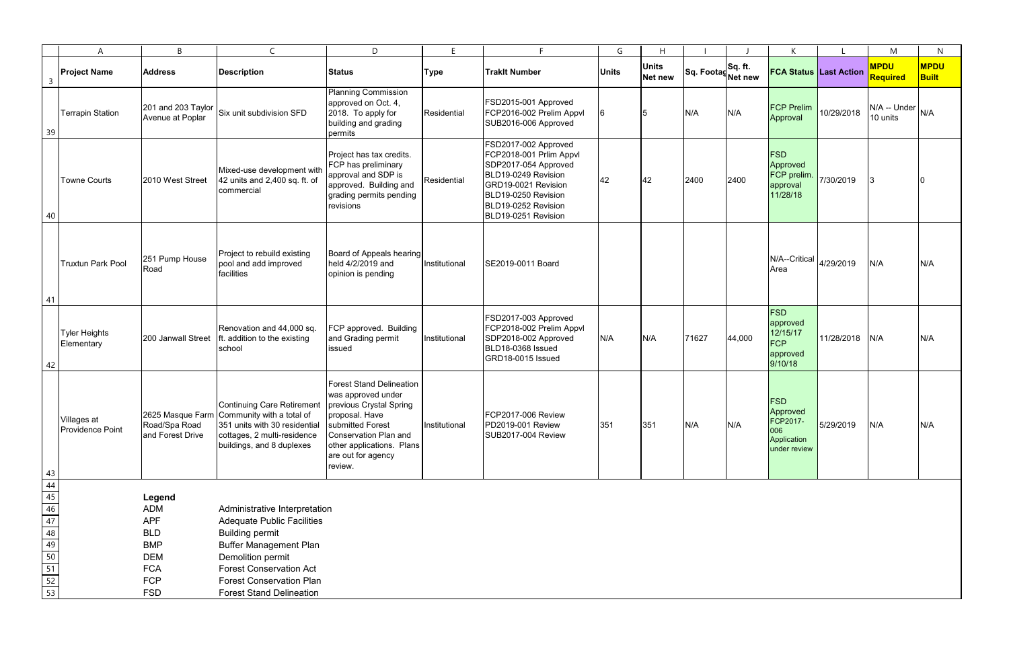|                                                                | A                                      | B                                      | $\mathsf{C}$                                                                                                                                                          | D                                                                                                                                                                                                             | E.            | F.                                                                                                                                                                                         | G            | H                       |                               |        | K                                                                        |            | M                                | N                           |
|----------------------------------------------------------------|----------------------------------------|----------------------------------------|-----------------------------------------------------------------------------------------------------------------------------------------------------------------------|---------------------------------------------------------------------------------------------------------------------------------------------------------------------------------------------------------------|---------------|--------------------------------------------------------------------------------------------------------------------------------------------------------------------------------------------|--------------|-------------------------|-------------------------------|--------|--------------------------------------------------------------------------|------------|----------------------------------|-----------------------------|
| $\mathsf{3}$                                                   | <b>Project Name</b>                    | <b>Address</b>                         | <b>Description</b>                                                                                                                                                    | <b>Status</b>                                                                                                                                                                                                 | <b>Type</b>   | <b>Traklt Number</b>                                                                                                                                                                       | <b>Units</b> | <b>Units</b><br>Net new | Sq. Footag Sq. ft.<br>Net new |        | <b>FCA Status Last Action</b>                                            |            | <b>MPDU</b><br><b>Required</b>   | <b>MPDU</b><br><b>Built</b> |
| 39                                                             | <b>Terrapin Station</b>                | 201 and 203 Taylor<br>Avenue at Poplar | Six unit subdivision SFD                                                                                                                                              | <b>Planning Commission</b><br>approved on Oct. 4,<br>2018. To apply for<br>building and grading<br>permits                                                                                                    | Residential   | FSD2015-001 Approved<br>FCP2016-002 Prelim Appvl<br>SUB2016-006 Approved                                                                                                                   | 6            | 15.                     | N/A                           | N/A    | <b>FCP Prelim</b><br>Approval                                            | 10/29/2018 | $N/A$ -- Under $N/A$<br>10 units |                             |
| 40                                                             | <b>Towne Courts</b>                    | 2010 West Street                       | Mixed-use development with<br>42 units and 2,400 sq. ft. of<br>commercial                                                                                             | Project has tax credits.<br>FCP has preliminary<br>approval and SDP is<br>approved. Building and<br>grading permits pending<br>revisions                                                                      | Residential   | FSD2017-002 Approved<br>FCP2018-001 Prlim Appvl<br>SDP2017-054 Approved<br>BLD19-0249 Revision<br>GRD19-0021 Revision<br>BLD19-0250 Revision<br>BLD19-0252 Revision<br>BLD19-0251 Revision | 42           | 42                      | 2400                          | 2400   | <b>FSD</b><br>Approved<br>FCP prelim.<br>approval<br>11/28/18            | 7/30/2019  |                                  |                             |
| 41                                                             | <b>Truxtun Park Pool</b>               | 251 Pump House<br>Road                 | Project to rebuild existing<br>pool and add improved<br>facilities                                                                                                    | Board of Appeals hearing<br>held 4/2/2019 and<br>opinion is pending                                                                                                                                           | Institutional | SE2019-0011 Board                                                                                                                                                                          |              |                         |                               |        | $N/A$ --Critical $\left  \right _{4/29/2019}$<br>Area                    |            | N/A                              | N/A                         |
| 42                                                             | <b>Tyler Heights</b><br>Elementary     | 200 Janwall Street                     | Renovation and 44,000 sq.<br>ft. addition to the existing<br>school                                                                                                   | FCP approved. Building<br>and Grading permit<br>issued                                                                                                                                                        | Institutional | FSD2017-003 Approved<br>FCP2018-002 Prelim Appvl<br>SDP2018-002 Approved<br>BLD18-0368 Issued<br>GRD18-0015 Issued                                                                         | N/A          | N/A                     | 71627                         | 44,000 | <b>FSD</b><br>approved<br>12/15/17<br><b>FCP</b><br>approved<br>9/10/18  | 11/28/2018 | N/A                              | N/A                         |
|                                                                | Villages at<br><b>Providence Point</b> | Road/Spa Road<br>and Forest Drive      | Continuing Care Retirement<br>2625 Masque Farm Community with a total of<br>351 units with 30 residential<br>cottages, 2 multi-residence<br>buildings, and 8 duplexes | <b>Forest Stand Delineation</b><br>was approved under<br>previous Crystal Spring<br>proposal. Have<br>submitted Forest<br>Conservation Plan and<br>other applications. Plans<br>are out for agency<br>review. | Institutional | FCP2017-006 Review<br>PD2019-001 Review<br>SUB2017-004 Review                                                                                                                              | 351          | 351                     | N/A                           | N/A    | <b>FSD</b><br>Approved<br>FCP2017-<br>006<br>Application<br>under review | 5/29/2019  | N/A                              | N/A                         |
|                                                                |                                        |                                        |                                                                                                                                                                       |                                                                                                                                                                                                               |               |                                                                                                                                                                                            |              |                         |                               |        |                                                                          |            |                                  |                             |
| 43<br>44<br>45<br>46<br>47<br>48<br>49<br>50<br>51<br>52<br>53 |                                        | Legend                                 |                                                                                                                                                                       |                                                                                                                                                                                                               |               |                                                                                                                                                                                            |              |                         |                               |        |                                                                          |            |                                  |                             |
|                                                                |                                        | <b>ADM</b>                             | Administrative Interpretation                                                                                                                                         |                                                                                                                                                                                                               |               |                                                                                                                                                                                            |              |                         |                               |        |                                                                          |            |                                  |                             |
|                                                                |                                        | <b>APF</b><br><b>BLD</b>               | <b>Adequate Public Facilities</b><br><b>Building permit</b>                                                                                                           |                                                                                                                                                                                                               |               |                                                                                                                                                                                            |              |                         |                               |        |                                                                          |            |                                  |                             |
|                                                                |                                        | <b>BMP</b>                             | <b>Buffer Management Plan</b>                                                                                                                                         |                                                                                                                                                                                                               |               |                                                                                                                                                                                            |              |                         |                               |        |                                                                          |            |                                  |                             |
|                                                                |                                        | <b>DEM</b>                             | Demolition permit                                                                                                                                                     |                                                                                                                                                                                                               |               |                                                                                                                                                                                            |              |                         |                               |        |                                                                          |            |                                  |                             |
|                                                                |                                        | <b>FCA</b>                             | <b>Forest Conservation Act</b>                                                                                                                                        |                                                                                                                                                                                                               |               |                                                                                                                                                                                            |              |                         |                               |        |                                                                          |            |                                  |                             |
|                                                                |                                        | <b>FCP</b>                             | <b>Forest Conservation Plan</b>                                                                                                                                       |                                                                                                                                                                                                               |               |                                                                                                                                                                                            |              |                         |                               |        |                                                                          |            |                                  |                             |
|                                                                |                                        | <b>FSD</b>                             | <b>Forest Stand Delineation</b>                                                                                                                                       |                                                                                                                                                                                                               |               |                                                                                                                                                                                            |              |                         |                               |        |                                                                          |            |                                  |                             |